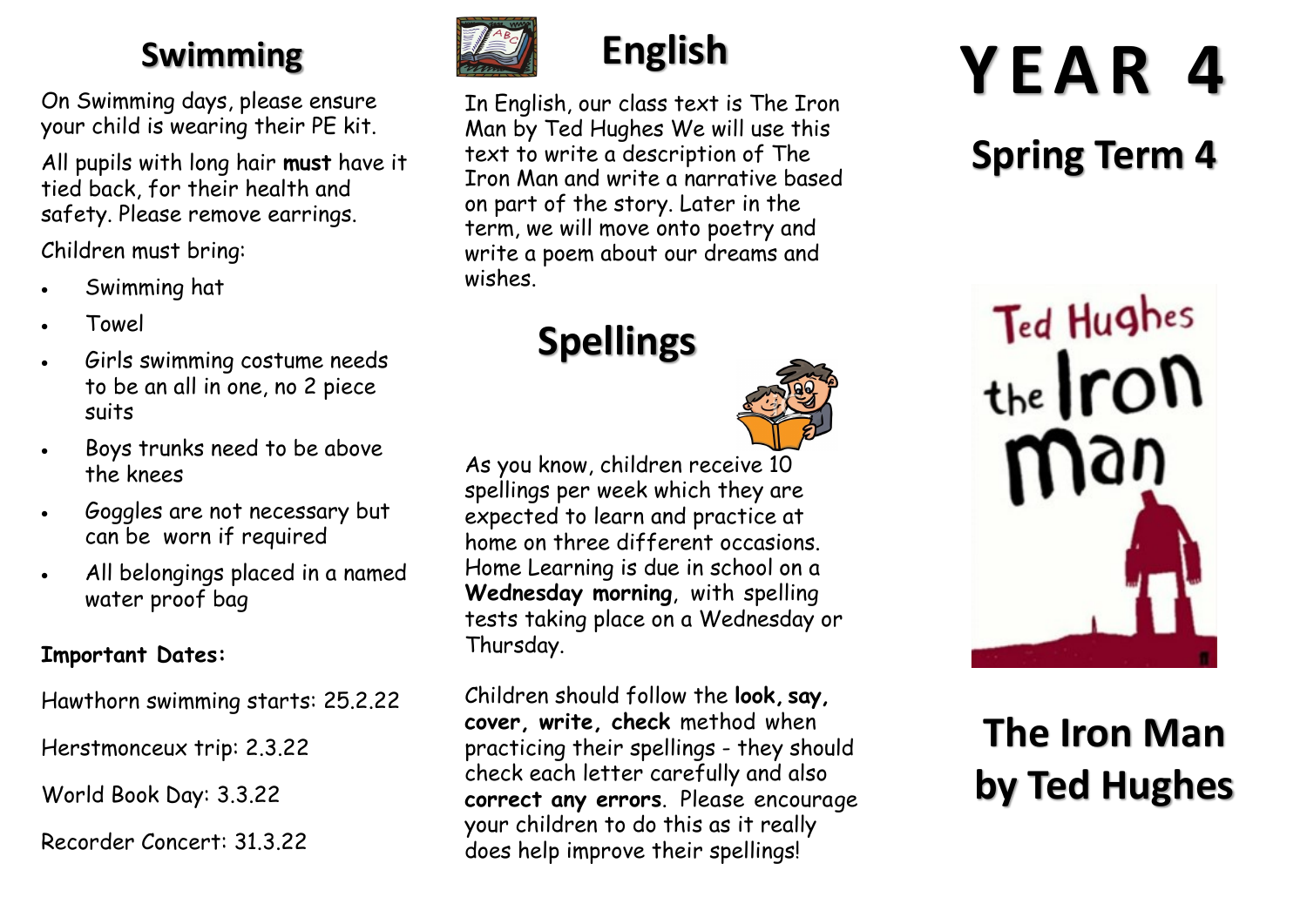#### **Swimming**

On Swimming days, please ensure your child is wearing their PE kit.

All pupils with long hair **must** have it tied back, for their health and safety. Please remove earrings.

Children must bring:

- Swimming hat
- Towel
- Girls swimming costume needs to be an all in one, no 2 piece suits
- Boys trunks need to be above the knees
- Goggles are not necessary but can be worn if required
- All belongings placed in a named water proof bag

#### **Important Dates:**

Hawthorn swimming starts: 25.2.22

Herstmonceux trip: 2.3.22

World Book Day: 3.3.22

Recorder Concert: 31.3.22



## **English**

In English, our class text is The Iron Man by Ted Hughes We will use this text to write a description of The Iron Man and write a narrative based on part of the story. Later in the term, we will move onto poetry and write a poem about our dreams and wishes.

# **Spellings**



As you know, children receive 10 spellings per week which they are expected to learn and practice at home on three different occasions. Home Learning is due in school on a **Wednesday morning**, with spelling tests taking place on a Wednesday or Thursday.

Children should follow the **look, say, cover, write, check** method when practicing their spellings - they should check each letter carefully and also **correct any errors**. Please encourage your children to do this as it really does help improve their spellings!

# **Y E A R 4**

## **Spring Term 4**



## **The Iron Man by Ted Hughes**